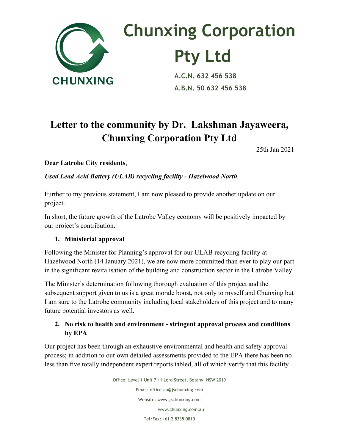

# **Chunxing Corporation Pty Ltd**<br>A.C.N. 632 456 538

 **A.B.N. 50 632 456 538**

## **Letter to the community by Dr. Lakshman Jayaweera, Chunxing Corporation Pty Ltd**

25th Jan 2021

**Dear Latrobe City residents**,

*Used Lead Acid Battery (ULAB) recycling facility - Hazelwood North*

Further to my previous statement, I am now pleased to provide another update on our project.

In short, the future growth of the Latrobe Valley economy will be positively impacted by our project's contribution.

#### **1. Ministerial approval**

Following the Minister for Planning's approval for our ULAB recycling facility at Hazelwood North (14 January 2021), we are now more committed than ever to play our part in the significant revitalisation of the building and construction sector in the Latrobe Valley.

The Minister's determination following thorough evaluation of this project and the subsequent support given to us is a great morale boost, not only to myself and Chunxing but I am sure to the Latrobe community including local stakeholders of this project and to many future potential investors as well.

#### **2. No risk to health and environment - stringent approval process and conditions by EPA**

Our project has been through an exhaustive environmental and health and safety approval process; in addition to our own detailed assessments provided to the EPA there has been no less than five totally independent expert reports tabled, all of which verify that this facility

> Office: Level 1 Unit 7 11 Lord Street, Botany, NSW 2019 Email: office.au@jschunxing.com Website: www.jschunxing.com www.chunxing.com.au Tel/Fax: +61 2 8335 0810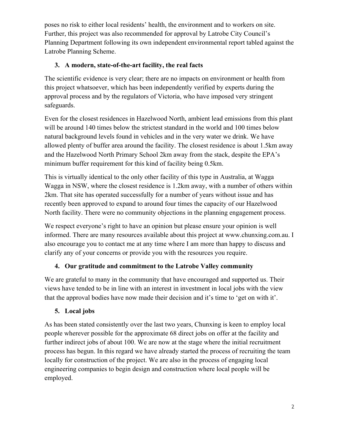poses no risk to either local residents' health, the environment and to workers on site. Further, this project was also recommended for approval by Latrobe City Council's Planning Department following its own independent environmental report tabled against the Latrobe Planning Scheme.

#### **3. A modern, state-of-the-art facility, the real facts**

The scientific evidence is very clear; there are no impacts on environment or health from this project whatsoever, which has been independently verified by experts during the approval process and by the regulators of Victoria, who have imposed very stringent safeguards.

Even for the closest residences in Hazelwood North, ambient lead emissions from this plant will be around 140 times below the strictest standard in the world and 100 times below natural background levels found in vehicles and in the very water we drink. We have allowed plenty of buffer area around the facility. The closest residence is about 1.5km away and the Hazelwood North Primary School 2km away from the stack, despite the EPA's minimum buffer requirement for this kind of facility being 0.5km.

This is virtually identical to the only other facility of this type in Australia, at Wagga Wagga in NSW, where the closest residence is 1.2km away, with a number of others within 2km. That site has operated successfully for a number of years without issue and has recently been approved to expand to around four times the capacity of our Hazelwood North facility. There were no community objections in the planning engagement process.

We respect everyone's right to have an opinion but please ensure your opinion is well informed. There are many resources available about this project at www.chunxing.com.au. I also encourage you to contact me at any time where I am more than happy to discuss and clarify any of your concerns or provide you with the resources you require.

### **4. Our gratitude and commitment to the Latrobe Valley community**

We are grateful to many in the community that have encouraged and supported us. Their views have tended to be in line with an interest in investment in local jobs with the view that the approval bodies have now made their decision and it's time to 'get on with it'.

#### **5. Local jobs**

As has been stated consistently over the last two years, Chunxing is keen to employ local people wherever possible for the approximate 68 direct jobs on offer at the facility and further indirect jobs of about 100. We are now at the stage where the initial recruitment process has begun. In this regard we have already started the process of recruiting the team locally for construction of the project. We are also in the process of engaging local engineering companies to begin design and construction where local people will be employed.